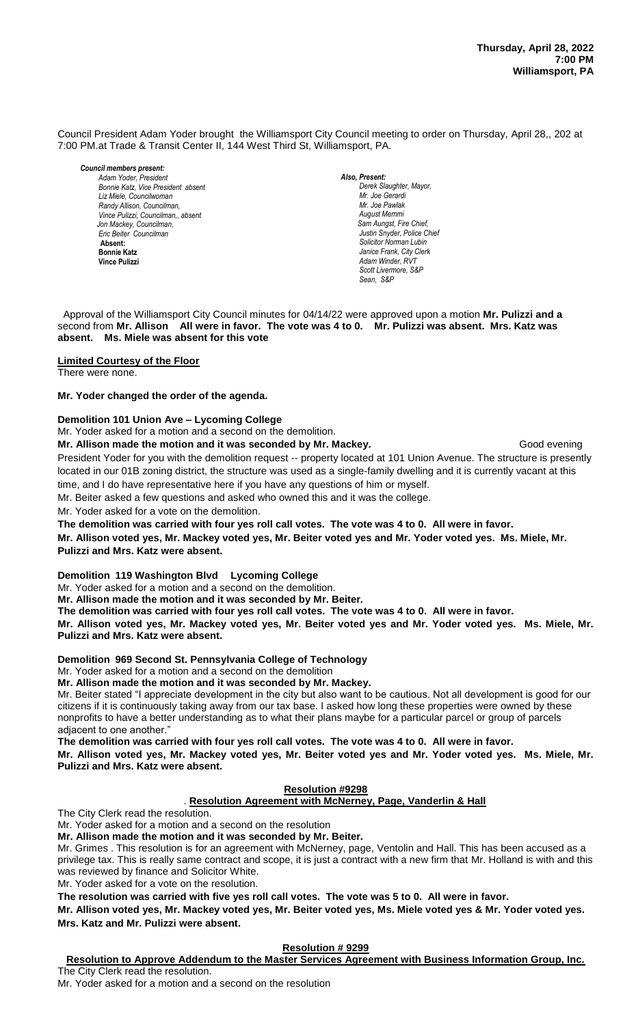Council President Adam Yoder brought the Williamsport City Council meeting to order on Thursday, April 28,, 202 at 7:00 PM.at Trade & Transit Center II, 144 West Third St, Williamsport, PA.

*Council members present: Adam Yoder, President , President Bonnie Katz, Vice President absent Liz Miele, Councilwoman Randy Allison, Councilman, Vince Pulizzi, Councilman,, absent Jon Mackey, Councilman, Eric Beiter Councilman*  **Absent: Bonnie Katz Vince Pulizzi**

*Also, Present:*  **Derek Slaughter, Mayor,** *Mr. Joe Gerardi Mr. Joseph Pawlak Mr. Joe Pawlak August Memmi* **Sam Aungst, Fire Chief,** Justin Snyder, Police Chief *Solicitor Norman Lubin Janice Frank, City Clerk Adam Winder, RVT Scott Livermore, S&P Sean, S&P* 

 Approval of the Williamsport City Council minutes for 04/14/22 were approved upon a motion **Mr. Pulizzi and a** second from **Mr. Allison All were in favor. The vote was 4 to 0. Mr. Pulizzi was absent. Mrs. Katz was absent. Ms. Miele was absent for this vote**

## **Limited Courtesy of the Floor**

There were none.

## **Mr. Yoder changed the order of the agenda.**

## **Demolition 101 Union Ave – Lycoming College**

Mr. Yoder asked for a motion and a second on the demolition.

**Mr. Allison made the motion and it was seconded by Mr. Mackey.** The state of the solid specific of the motion and it was seconded by Mr. Mackey. President Yoder for you with the demolition request -- property located at 101 Union Avenue. The structure is presently located in our 01B zoning district, the structure was used as a single-family dwelling and it is currently vacant at this time, and I do have representative here if you have any questions of him or myself. *Janice Frank, City Clerk, absent*

Mr. Beiter asked a few questions and asked who owned this and it was the college.

Mr. Yoder asked for a vote on the demolition.

**The demolition was carried with four yes roll call votes. The vote was 4 to 0. All were in favor.**

**Mr. Allison voted yes, Mr. Mackey voted yes, Mr. Beiter voted yes and Mr. Yoder voted yes. Ms. Miele, Mr.**  *Members of News Media* **Pulizzi and Mrs. Katz were absent.** *Members of the news media*

**Demolition 119 Washington Blvd Lycoming College**

Mr. Yoder asked for a motion and a second on the demolition.

**Mr. Allison made the motion and it was seconded by Mr. Beiter.**

**The demolition was carried with four yes roll call votes. The vote was 4 to 0. All were in favor.**

**Mr. Allison voted yes, Mr. Mackey voted yes, Mr. Beiter voted yes and Mr. Yoder voted yes. Ms. Miele, Mr. Pulizzi and Mrs. Katz were absent.**

**Demolition 969 Second St. Pennsylvania College of Technology**

Mr. Yoder asked for a motion and a second on the demolition

**Mr. Allison made the motion and it was seconded by Mr. Mackey.**

Mr. Beiter stated "I appreciate development in the city but also want to be cautious. Not all development is good for our citizens if it is continuously taking away from our tax base. I asked how long these properties were owned by these nonprofits to have a better understanding as to what their plans maybe for a particular parcel or group of parcels adjacent to one another."

**The demolition was carried with four yes roll call votes. The vote was 4 to 0. All were in favor.**

**Mr. Allison voted yes, Mr. Mackey voted yes, Mr. Beiter voted yes and Mr. Yoder voted yes. Ms. Miele, Mr. Pulizzi and Mrs. Katz were absent.**

## **Resolution #9298**

## . **Resolution Agreement with McNerney, Page, Vanderlin & Hall**

The City Clerk read the resolution.

Mr. Yoder asked for a motion and a second on the resolution

**Mr. Allison made the motion and it was seconded by Mr. Beiter.**

Mr. Grimes . This resolution is for an agreement with McNerney, page, Ventolin and Hall. This has been accused as a privilege tax. This is really same contract and scope, it is just a contract with a new firm that Mr. Holland is with and this was reviewed by finance and Solicitor White.

Mr. Yoder asked for a vote on the resolution.

**The resolution was carried with five yes roll call votes. The vote was 5 to 0. All were in favor.**

**Mr. Allison voted yes, Mr. Mackey voted yes, Mr. Beiter voted yes, Ms. Miele voted yes & Mr. Yoder voted yes. Mrs. Katz and Mr. Pulizzi were absent.**

## **Resolution # 9299**

**Resolution to Approve Addendum to the Master Services Agreement with Business Information Group, Inc.** The City Clerk read the resolution.

Mr. Yoder asked for a motion and a second on the resolution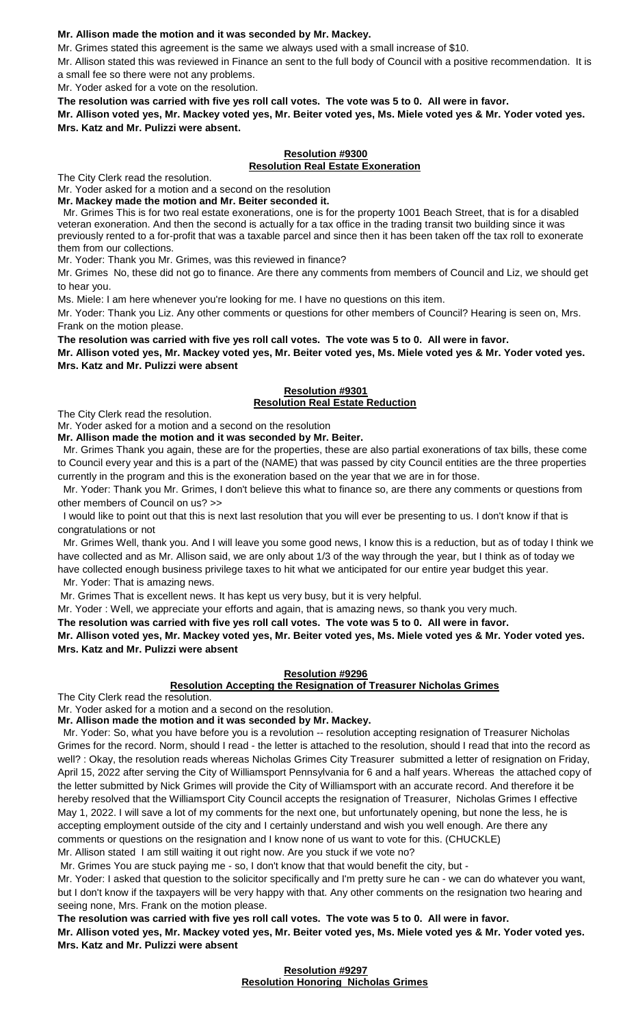## **Mr. Allison made the motion and it was seconded by Mr. Mackey.**

Mr. Grimes stated this agreement is the same we always used with a small increase of \$10.

Mr. Allison stated this was reviewed in Finance an sent to the full body of Council with a positive recommendation. It is a small fee so there were not any problems.

Mr. Yoder asked for a vote on the resolution.

**The resolution was carried with five yes roll call votes. The vote was 5 to 0. All were in favor.**

**Mr. Allison voted yes, Mr. Mackey voted yes, Mr. Beiter voted yes, Ms. Miele voted yes & Mr. Yoder voted yes. Mrs. Katz and Mr. Pulizzi were absent.**

### **Resolution #9300 Resolution Real Estate Exoneration**

The City Clerk read the resolution.

Mr. Yoder asked for a motion and a second on the resolution

**Mr. Mackey made the motion and Mr. Beiter seconded it.**

 Mr. Grimes This is for two real estate exonerations, one is for the property 1001 Beach Street, that is for a disabled veteran exoneration. And then the second is actually for a tax office in the trading transit two building since it was previously rented to a for-profit that was a taxable parcel and since then it has been taken off the tax roll to exonerate them from our collections.

Mr. Yoder: Thank you Mr. Grimes, was this reviewed in finance?

Mr. Grimes No, these did not go to finance. Are there any comments from members of Council and Liz, we should get to hear you.

Ms. Miele: I am here whenever you're looking for me. I have no questions on this item.

Mr. Yoder: Thank you Liz. Any other comments or questions for other members of Council? Hearing is seen on, Mrs. Frank on the motion please.

**The resolution was carried with five yes roll call votes. The vote was 5 to 0. All were in favor.**

**Mr. Allison voted yes, Mr. Mackey voted yes, Mr. Beiter voted yes, Ms. Miele voted yes & Mr. Yoder voted yes. Mrs. Katz and Mr. Pulizzi were absent**

## **Resolution #9301 Resolution Real Estate Reduction**

The City Clerk read the resolution.

Mr. Yoder asked for a motion and a second on the resolution

**Mr. Allison made the motion and it was seconded by Mr. Beiter.**

 Mr. Grimes Thank you again, these are for the properties, these are also partial exonerations of tax bills, these come to Council every year and this is a part of the (NAME) that was passed by city Council entities are the three properties currently in the program and this is the exoneration based on the year that we are in for those.

 Mr. Yoder: Thank you Mr. Grimes, I don't believe this what to finance so, are there any comments or questions from other members of Council on us? >>

 I would like to point out that this is next last resolution that you will ever be presenting to us. I don't know if that is congratulations or not

 Mr. Grimes Well, thank you. And I will leave you some good news, I know this is a reduction, but as of today I think we have collected and as Mr. Allison said, we are only about 1/3 of the way through the year, but I think as of today we have collected enough business privilege taxes to hit what we anticipated for our entire year budget this year.

Mr. Yoder: That is amazing news.

Mr. Grimes That is excellent news. It has kept us very busy, but it is very helpful.

Mr. Yoder : Well, we appreciate your efforts and again, that is amazing news, so thank you very much.

**The resolution was carried with five yes roll call votes. The vote was 5 to 0. All were in favor.**

**Mr. Allison voted yes, Mr. Mackey voted yes, Mr. Beiter voted yes, Ms. Miele voted yes & Mr. Yoder voted yes. Mrs. Katz and Mr. Pulizzi were absent**

### **Resolution #9296**

## **Resolution Accepting the Resignation of Treasurer Nicholas Grimes**

The City Clerk read the resolution.

Mr. Yoder asked for a motion and a second on the resolution.

**Mr. Allison made the motion and it was seconded by Mr. Mackey.**

 Mr. Yoder: So, what you have before you is a revolution -- resolution accepting resignation of Treasurer Nicholas Grimes for the record. Norm, should I read - the letter is attached to the resolution, should I read that into the record as well? : Okay, the resolution reads whereas Nicholas Grimes City Treasurer submitted a letter of resignation on Friday, April 15, 2022 after serving the City of Williamsport Pennsylvania for 6 and a half years. Whereas the attached copy of the letter submitted by Nick Grimes will provide the City of Williamsport with an accurate record. And therefore it be hereby resolved that the Williamsport City Council accepts the resignation of Treasurer, Nicholas Grimes I effective May 1, 2022. I will save a lot of my comments for the next one, but unfortunately opening, but none the less, he is accepting employment outside of the city and I certainly understand and wish you well enough. Are there any comments or questions on the resignation and I know none of us want to vote for this. (CHUCKLE) Mr. Allison stated I am still waiting it out right now. Are you stuck if we vote no?

Mr. Grimes You are stuck paying me - so, I don't know that that would benefit the city, but -

Mr. Yoder: I asked that question to the solicitor specifically and I'm pretty sure he can - we can do whatever you want, but I don't know if the taxpayers will be very happy with that. Any other comments on the resignation two hearing and seeing none, Mrs. Frank on the motion please.

**The resolution was carried with five yes roll call votes. The vote was 5 to 0. All were in favor.**

**Mr. Allison voted yes, Mr. Mackey voted yes, Mr. Beiter voted yes, Ms. Miele voted yes & Mr. Yoder voted yes. Mrs. Katz and Mr. Pulizzi were absent**

> **Resolution #9297 Resolution Honoring Nicholas Grimes**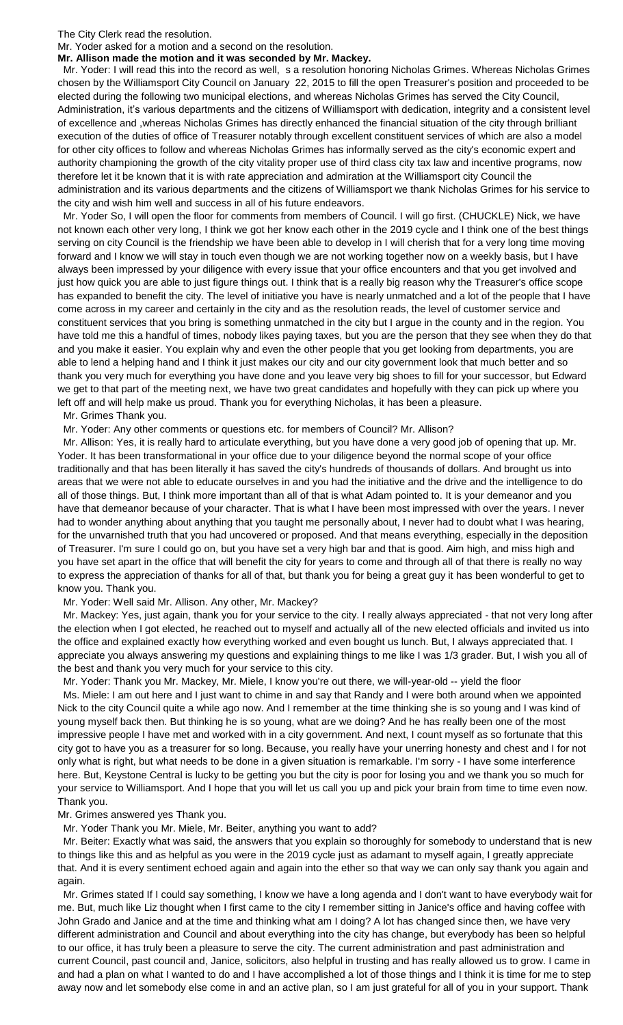The City Clerk read the resolution.

# Mr. Yoder asked for a motion and a second on the resolution.

**Mr. Allison made the motion and it was seconded by Mr. Mackey.** Mr. Yoder: I will read this into the record as well, s a resolution honoring Nicholas Grimes. Whereas Nicholas Grimes chosen by the Williamsport City Council on January 22, 2015 to fill the open Treasurer's position and proceeded to be elected during the following two municipal elections, and whereas Nicholas Grimes has served the City Council, Administration, it's various departments and the citizens of Williamsport with dedication, integrity and a consistent level of excellence and ,whereas Nicholas Grimes has directly enhanced the financial situation of the city through brilliant execution of the duties of office of Treasurer notably through excellent constituent services of which are also a model for other city offices to follow and whereas Nicholas Grimes has informally served as the city's economic expert and authority championing the growth of the city vitality proper use of third class city tax law and incentive programs, now therefore let it be known that it is with rate appreciation and admiration at the Williamsport city Council the administration and its various departments and the citizens of Williamsport we thank Nicholas Grimes for his service to the city and wish him well and success in all of his future endeavors.

 Mr. Yoder So, I will open the floor for comments from members of Council. I will go first. (CHUCKLE) Nick, we have not known each other very long, I think we got her know each other in the 2019 cycle and I think one of the best things serving on city Council is the friendship we have been able to develop in I will cherish that for a very long time moving forward and I know we will stay in touch even though we are not working together now on a weekly basis, but I have always been impressed by your diligence with every issue that your office encounters and that you get involved and just how quick you are able to just figure things out. I think that is a really big reason why the Treasurer's office scope has expanded to benefit the city. The level of initiative you have is nearly unmatched and a lot of the people that I have come across in my career and certainly in the city and as the resolution reads, the level of customer service and constituent services that you bring is something unmatched in the city but I argue in the county and in the region. You have told me this a handful of times, nobody likes paying taxes, but you are the person that they see when they do that and you make it easier. You explain why and even the other people that you get looking from departments, you are able to lend a helping hand and I think it just makes our city and our city government look that much better and so thank you very much for everything you have done and you leave very big shoes to fill for your successor, but Edward we get to that part of the meeting next, we have two great candidates and hopefully with they can pick up where you left off and will help make us proud. Thank you for everything Nicholas, it has been a pleasure.

Mr. Grimes Thank you.

Mr. Yoder: Any other comments or questions etc. for members of Council? Mr. Allison?

 Mr. Allison: Yes, it is really hard to articulate everything, but you have done a very good job of opening that up. Mr. Yoder. It has been transformational in your office due to your diligence beyond the normal scope of your office traditionally and that has been literally it has saved the city's hundreds of thousands of dollars. And brought us into areas that we were not able to educate ourselves in and you had the initiative and the drive and the intelligence to do all of those things. But, I think more important than all of that is what Adam pointed to. It is your demeanor and you have that demeanor because of your character. That is what I have been most impressed with over the years. I never had to wonder anything about anything that you taught me personally about, I never had to doubt what I was hearing, for the unvarnished truth that you had uncovered or proposed. And that means everything, especially in the deposition of Treasurer. I'm sure I could go on, but you have set a very high bar and that is good. Aim high, and miss high and you have set apart in the office that will benefit the city for years to come and through all of that there is really no way to express the appreciation of thanks for all of that, but thank you for being a great guy it has been wonderful to get to know you. Thank you.

Mr. Yoder: Well said Mr. Allison. Any other, Mr. Mackey?

 Mr. Mackey: Yes, just again, thank you for your service to the city. I really always appreciated - that not very long after the election when I got elected, he reached out to myself and actually all of the new elected officials and invited us into the office and explained exactly how everything worked and even bought us lunch. But, I always appreciated that. I appreciate you always answering my questions and explaining things to me like I was 1/3 grader. But, I wish you all of the best and thank you very much for your service to this city.

Mr. Yoder: Thank you Mr. Mackey, Mr. Miele, I know you're out there, we will-year-old -- yield the floor

 Ms. Miele: I am out here and I just want to chime in and say that Randy and I were both around when we appointed Nick to the city Council quite a while ago now. And I remember at the time thinking she is so young and I was kind of young myself back then. But thinking he is so young, what are we doing? And he has really been one of the most impressive people I have met and worked with in a city government. And next, I count myself as so fortunate that this city got to have you as a treasurer for so long. Because, you really have your unerring honesty and chest and I for not only what is right, but what needs to be done in a given situation is remarkable. I'm sorry - I have some interference here. But, Keystone Central is lucky to be getting you but the city is poor for losing you and we thank you so much for your service to Williamsport. And I hope that you will let us call you up and pick your brain from time to time even now. Thank you.

Mr. Grimes answered yes Thank you.

Mr. Yoder Thank you Mr. Miele, Mr. Beiter, anything you want to add?

 Mr. Beiter: Exactly what was said, the answers that you explain so thoroughly for somebody to understand that is new to things like this and as helpful as you were in the 2019 cycle just as adamant to myself again, I greatly appreciate that. And it is every sentiment echoed again and again into the ether so that way we can only say thank you again and again.

 Mr. Grimes stated If I could say something, I know we have a long agenda and I don't want to have everybody wait for me. But, much like Liz thought when I first came to the city I remember sitting in Janice's office and having coffee with John Grado and Janice and at the time and thinking what am I doing? A lot has changed since then, we have very different administration and Council and about everything into the city has change, but everybody has been so helpful to our office, it has truly been a pleasure to serve the city. The current administration and past administration and current Council, past council and, Janice, solicitors, also helpful in trusting and has really allowed us to grow. I came in and had a plan on what I wanted to do and I have accomplished a lot of those things and I think it is time for me to step away now and let somebody else come in and an active plan, so I am just grateful for all of you in your support. Thank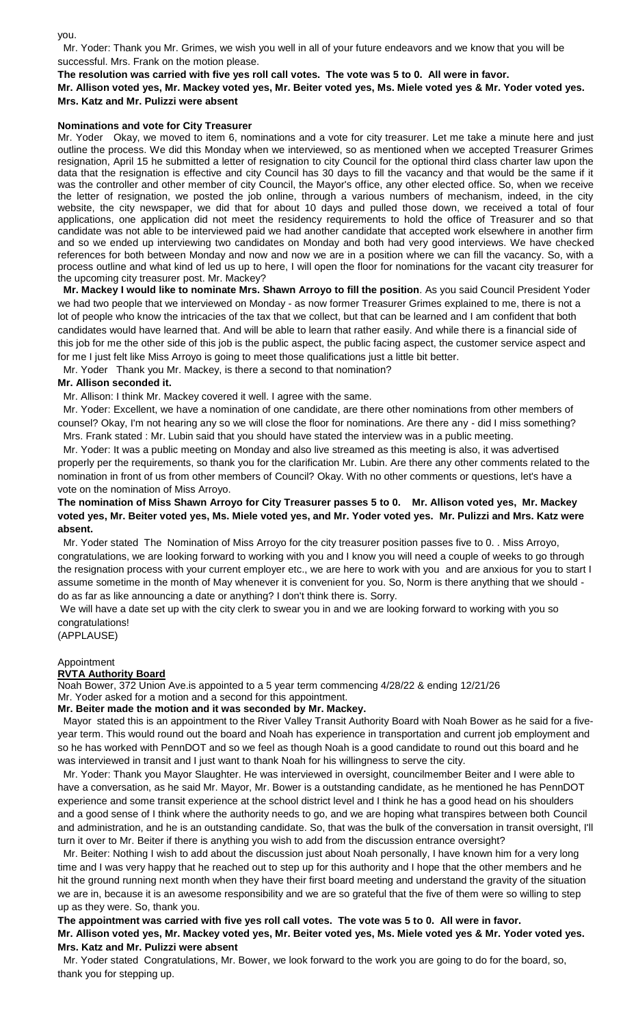Mr. Yoder: Thank you Mr. Grimes, we wish you well in all of your future endeavors and we know that you will be successful. Mrs. Frank on the motion please.

## **The resolution was carried with five yes roll call votes. The vote was 5 to 0. All were in favor.**

### **Mr. Allison voted yes, Mr. Mackey voted yes, Mr. Beiter voted yes, Ms. Miele voted yes & Mr. Yoder voted yes. Mrs. Katz and Mr. Pulizzi were absent**

### **Nominations and vote for City Treasurer**

Mr. Yoder Okay, we moved to item 6, nominations and a vote for city treasurer. Let me take a minute here and just outline the process. We did this Monday when we interviewed, so as mentioned when we accepted Treasurer Grimes resignation, April 15 he submitted a letter of resignation to city Council for the optional third class charter law upon the data that the resignation is effective and city Council has 30 days to fill the vacancy and that would be the same if it was the controller and other member of city Council, the Mayor's office, any other elected office. So, when we receive the letter of resignation, we posted the job online, through a various numbers of mechanism, indeed, in the city website, the city newspaper, we did that for about 10 days and pulled those down, we received a total of four applications, one application did not meet the residency requirements to hold the office of Treasurer and so that candidate was not able to be interviewed paid we had another candidate that accepted work elsewhere in another firm and so we ended up interviewing two candidates on Monday and both had very good interviews. We have checked references for both between Monday and now and now we are in a position where we can fill the vacancy. So, with a process outline and what kind of led us up to here, I will open the floor for nominations for the vacant city treasurer for the upcoming city treasurer post. Mr. Mackey?

 **Mr. Mackey I would like to nominate Mrs. Shawn Arroyo to fill the position**. As you said Council President Yoder we had two people that we interviewed on Monday - as now former Treasurer Grimes explained to me, there is not a lot of people who know the intricacies of the tax that we collect, but that can be learned and I am confident that both candidates would have learned that. And will be able to learn that rather easily. And while there is a financial side of this job for me the other side of this job is the public aspect, the public facing aspect, the customer service aspect and for me I just felt like Miss Arroyo is going to meet those qualifications just a little bit better.

Mr. Yoder Thank you Mr. Mackey, is there a second to that nomination?

### **Mr. Allison seconded it.**

Mr. Allison: I think Mr. Mackey covered it well. I agree with the same.

 Mr. Yoder: Excellent, we have a nomination of one candidate, are there other nominations from other members of counsel? Okay, I'm not hearing any so we will close the floor for nominations. Are there any - did I miss something? Mrs. Frank stated : Mr. Lubin said that you should have stated the interview was in a public meeting.

 Mr. Yoder: It was a public meeting on Monday and also live streamed as this meeting is also, it was advertised properly per the requirements, so thank you for the clarification Mr. Lubin. Are there any other comments related to the nomination in front of us from other members of Council? Okay. With no other comments or questions, let's have a vote on the nomination of Miss Arroyo.

## **The nomination of Miss Shawn Arroyo for City Treasurer passes 5 to 0. Mr. Allison voted yes, Mr. Mackey voted yes, Mr. Beiter voted yes, Ms. Miele voted yes, and Mr. Yoder voted yes. Mr. Pulizzi and Mrs. Katz were absent.**

 Mr. Yoder stated The Nomination of Miss Arroyo for the city treasurer position passes five to 0. . Miss Arroyo, congratulations, we are looking forward to working with you and I know you will need a couple of weeks to go through the resignation process with your current employer etc., we are here to work with you and are anxious for you to start I assume sometime in the month of May whenever it is convenient for you. So, Norm is there anything that we should do as far as like announcing a date or anything? I don't think there is. Sorry.

We will have a date set up with the city clerk to swear you in and we are looking forward to working with you so congratulations!

## (APPLAUSE)

Appointment

### **RVTA Authority Board**

Noah Bower, 372 Union Ave.is appointed to a 5 year term commencing 4/28/22 & ending 12/21/26 Mr. Yoder asked for a motion and a second for this appointment.

# **Mr. Beiter made the motion and it was seconded by Mr. Mackey.**

 Mayor stated this is an appointment to the River Valley Transit Authority Board with Noah Bower as he said for a fiveyear term. This would round out the board and Noah has experience in transportation and current job employment and so he has worked with PennDOT and so we feel as though Noah is a good candidate to round out this board and he was interviewed in transit and I just want to thank Noah for his willingness to serve the city.

 Mr. Yoder: Thank you Mayor Slaughter. He was interviewed in oversight, councilmember Beiter and I were able to have a conversation, as he said Mr. Mayor, Mr. Bower is a outstanding candidate, as he mentioned he has PennDOT experience and some transit experience at the school district level and I think he has a good head on his shoulders and a good sense of I think where the authority needs to go, and we are hoping what transpires between both Council and administration, and he is an outstanding candidate. So, that was the bulk of the conversation in transit oversight, I'll turn it over to Mr. Beiter if there is anything you wish to add from the discussion entrance oversight?

 Mr. Beiter: Nothing I wish to add about the discussion just about Noah personally, I have known him for a very long time and I was very happy that he reached out to step up for this authority and I hope that the other members and he hit the ground running next month when they have their first board meeting and understand the gravity of the situation we are in, because it is an awesome responsibility and we are so grateful that the five of them were so willing to step up as they were. So, thank you.

## **The appointment was carried with five yes roll call votes. The vote was 5 to 0. All were in favor. Mr. Allison voted yes, Mr. Mackey voted yes, Mr. Beiter voted yes, Ms. Miele voted yes & Mr. Yoder voted yes. Mrs. Katz and Mr. Pulizzi were absent**

 Mr. Yoder stated Congratulations, Mr. Bower, we look forward to the work you are going to do for the board, so, thank you for stepping up.

### you.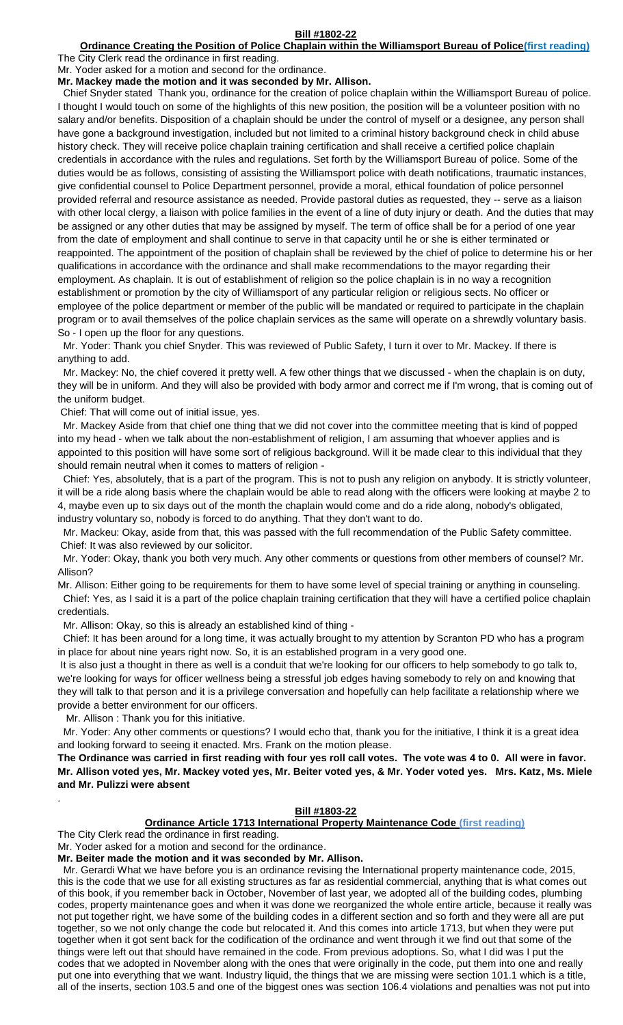### **Bill #1802-22**

**Ordinance Creating the Position of Police Chaplain within the Williamsport Bureau of Police(first reading)** The City Clerk read the ordinance in first reading.

Mr. Yoder asked for a motion and second for the ordinance.

**Mr. Mackey made the motion and it was seconded by Mr. Allison.**

 Chief Snyder stated Thank you, ordinance for the creation of police chaplain within the Williamsport Bureau of police. I thought I would touch on some of the highlights of this new position, the position will be a volunteer position with no salary and/or benefits. Disposition of a chaplain should be under the control of myself or a designee, any person shall have gone a background investigation, included but not limited to a criminal history background check in child abuse history check. They will receive police chaplain training certification and shall receive a certified police chaplain credentials in accordance with the rules and regulations. Set forth by the Williamsport Bureau of police. Some of the duties would be as follows, consisting of assisting the Williamsport police with death notifications, traumatic instances, give confidential counsel to Police Department personnel, provide a moral, ethical foundation of police personnel provided referral and resource assistance as needed. Provide pastoral duties as requested, they -- serve as a liaison with other local clergy, a liaison with police families in the event of a line of duty injury or death. And the duties that may be assigned or any other duties that may be assigned by myself. The term of office shall be for a period of one year from the date of employment and shall continue to serve in that capacity until he or she is either terminated or reappointed. The appointment of the position of chaplain shall be reviewed by the chief of police to determine his or her qualifications in accordance with the ordinance and shall make recommendations to the mayor regarding their employment. As chaplain. It is out of establishment of religion so the police chaplain is in no way a recognition establishment or promotion by the city of Williamsport of any particular religion or religious sects. No officer or employee of the police department or member of the public will be mandated or required to participate in the chaplain program or to avail themselves of the police chaplain services as the same will operate on a shrewdly voluntary basis. So - I open up the floor for any questions.

 Mr. Yoder: Thank you chief Snyder. This was reviewed of Public Safety, I turn it over to Mr. Mackey. If there is anything to add.

 Mr. Mackey: No, the chief covered it pretty well. A few other things that we discussed - when the chaplain is on duty, they will be in uniform. And they will also be provided with body armor and correct me if I'm wrong, that is coming out of the uniform budget.

Chief: That will come out of initial issue, yes.

 Mr. Mackey Aside from that chief one thing that we did not cover into the committee meeting that is kind of popped into my head - when we talk about the non-establishment of religion, I am assuming that whoever applies and is appointed to this position will have some sort of religious background. Will it be made clear to this individual that they should remain neutral when it comes to matters of religion -

 Chief: Yes, absolutely, that is a part of the program. This is not to push any religion on anybody. It is strictly volunteer, it will be a ride along basis where the chaplain would be able to read along with the officers were looking at maybe 2 to 4, maybe even up to six days out of the month the chaplain would come and do a ride along, nobody's obligated, industry voluntary so, nobody is forced to do anything. That they don't want to do.

 Mr. Mackeu: Okay, aside from that, this was passed with the full recommendation of the Public Safety committee. Chief: It was also reviewed by our solicitor.

 Mr. Yoder: Okay, thank you both very much. Any other comments or questions from other members of counsel? Mr. Allison?

Mr. Allison: Either going to be requirements for them to have some level of special training or anything in counseling. Chief: Yes, as I said it is a part of the police chaplain training certification that they will have a certified police chaplain credentials.

Mr. Allison: Okay, so this is already an established kind of thing -

 Chief: It has been around for a long time, it was actually brought to my attention by Scranton PD who has a program in place for about nine years right now. So, it is an established program in a very good one.

It is also just a thought in there as well is a conduit that we're looking for our officers to help somebody to go talk to, we're looking for ways for officer wellness being a stressful job edges having somebody to rely on and knowing that they will talk to that person and it is a privilege conversation and hopefully can help facilitate a relationship where we provide a better environment for our officers.

Mr. Allison : Thank you for this initiative.

.

 Mr. Yoder: Any other comments or questions? I would echo that, thank you for the initiative, I think it is a great idea and looking forward to seeing it enacted. Mrs. Frank on the motion please.

**The Ordinance was carried in first reading with four yes roll call votes. The vote was 4 to 0. All were in favor. Mr. Allison voted yes, Mr. Mackey voted yes, Mr. Beiter voted yes, & Mr. Yoder voted yes. Mrs. Katz, Ms. Miele and Mr. Pulizzi were absent**

## **Bill #1803-22**

### **Ordinance Article 1713 International Property Maintenance Code (first reading)**

The City Clerk read the ordinance in first reading.

Mr. Yoder asked for a motion and second for the ordinance.

**Mr. Beiter made the motion and it was seconded by Mr. Allison.**

 Mr. Gerardi What we have before you is an ordinance revising the International property maintenance code, 2015, this is the code that we use for all existing structures as far as residential commercial, anything that is what comes out of this book, if you remember back in October, November of last year, we adopted all of the building codes, plumbing codes, property maintenance goes and when it was done we reorganized the whole entire article, because it really was not put together right, we have some of the building codes in a different section and so forth and they were all are put together, so we not only change the code but relocated it. And this comes into article 1713, but when they were put together when it got sent back for the codification of the ordinance and went through it we find out that some of the things were left out that should have remained in the code. From previous adoptions. So, what I did was I put the codes that we adopted in November along with the ones that were originally in the code, put them into one and really put one into everything that we want. Industry liquid, the things that we are missing were section 101.1 which is a title, all of the inserts, section 103.5 and one of the biggest ones was section 106.4 violations and penalties was not put into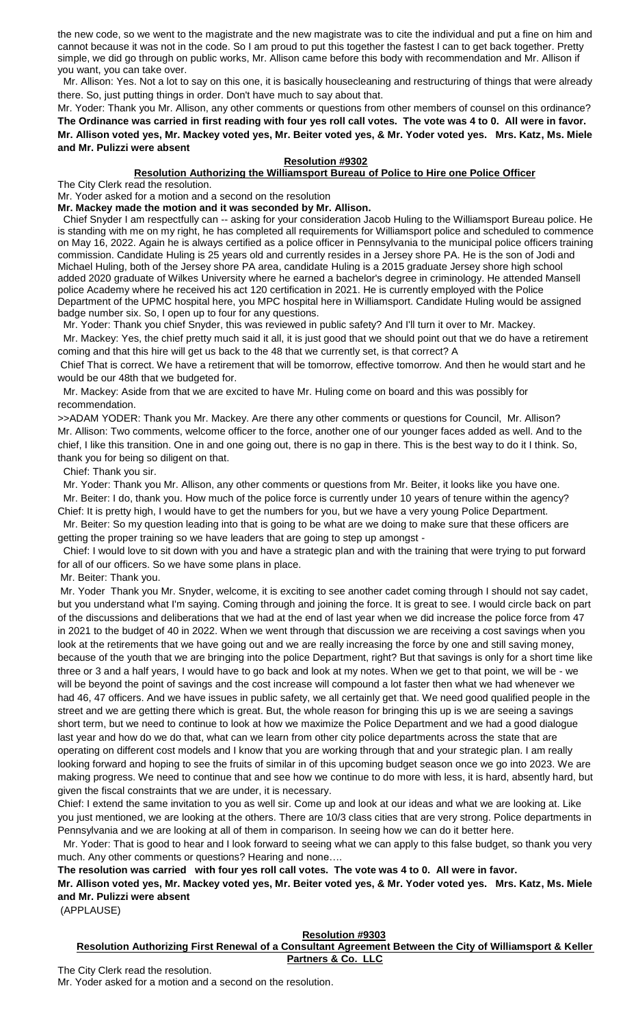the new code, so we went to the magistrate and the new magistrate was to cite the individual and put a fine on him and cannot because it was not in the code. So I am proud to put this together the fastest I can to get back together. Pretty simple, we did go through on public works, Mr. Allison came before this body with recommendation and Mr. Allison if you want, you can take over.

 Mr. Allison: Yes. Not a lot to say on this one, it is basically housecleaning and restructuring of things that were already there. So, just putting things in order. Don't have much to say about that.

Mr. Yoder: Thank you Mr. Allison, any other comments or questions from other members of counsel on this ordinance? **The Ordinance was carried in first reading with four yes roll call votes. The vote was 4 to 0. All were in favor. Mr. Allison voted yes, Mr. Mackey voted yes, Mr. Beiter voted yes, & Mr. Yoder voted yes. Mrs. Katz, Ms. Miele and Mr. Pulizzi were absent**

### **Resolution #9302**

## **Resolution Authorizing the Williamsport Bureau of Police to Hire one Police Officer**

The City Clerk read the resolution.

Mr. Yoder asked for a motion and a second on the resolution

**Mr. Mackey made the motion and it was seconded by Mr. Allison.** Chief Snyder I am respectfully can -- asking for your consideration Jacob Huling to the Williamsport Bureau police. He is standing with me on my right, he has completed all requirements for Williamsport police and scheduled to commence on May 16, 2022. Again he is always certified as a police officer in Pennsylvania to the municipal police officers training commission. Candidate Huling is 25 years old and currently resides in a Jersey shore PA. He is the son of Jodi and Michael Huling, both of the Jersey shore PA area, candidate Huling is a 2015 graduate Jersey shore high school added 2020 graduate of Wilkes University where he earned a bachelor's degree in criminology. He attended Mansell police Academy where he received his act 120 certification in 2021. He is currently employed with the Police Department of the UPMC hospital here, you MPC hospital here in Williamsport. Candidate Huling would be assigned badge number six. So, I open up to four for any questions.

Mr. Yoder: Thank you chief Snyder, this was reviewed in public safety? And I'll turn it over to Mr. Mackey.

 Mr. Mackey: Yes, the chief pretty much said it all, it is just good that we should point out that we do have a retirement coming and that this hire will get us back to the 48 that we currently set, is that correct? A

Chief That is correct. We have a retirement that will be tomorrow, effective tomorrow. And then he would start and he would be our 48th that we budgeted for.

 Mr. Mackey: Aside from that we are excited to have Mr. Huling come on board and this was possibly for recommendation.

>>ADAM YODER: Thank you Mr. Mackey. Are there any other comments or questions for Council, Mr. Allison? Mr. Allison: Two comments, welcome officer to the force, another one of our younger faces added as well. And to the chief, I like this transition. One in and one going out, there is no gap in there. This is the best way to do it I think. So, thank you for being so diligent on that.

Chief: Thank you sir.

 Mr. Yoder: Thank you Mr. Allison, any other comments or questions from Mr. Beiter, it looks like you have one. Mr. Beiter: I do, thank you. How much of the police force is currently under 10 years of tenure within the agency? Chief: It is pretty high, I would have to get the numbers for you, but we have a very young Police Department.

 Mr. Beiter: So my question leading into that is going to be what are we doing to make sure that these officers are getting the proper training so we have leaders that are going to step up amongst -

 Chief: I would love to sit down with you and have a strategic plan and with the training that were trying to put forward for all of our officers. So we have some plans in place.

Mr. Beiter: Thank you.

Mr. Yoder Thank you Mr. Snyder, welcome, it is exciting to see another cadet coming through I should not say cadet, but you understand what I'm saying. Coming through and joining the force. It is great to see. I would circle back on part of the discussions and deliberations that we had at the end of last year when we did increase the police force from 47 in 2021 to the budget of 40 in 2022. When we went through that discussion we are receiving a cost savings when you look at the retirements that we have going out and we are really increasing the force by one and still saving money, because of the youth that we are bringing into the police Department, right? But that savings is only for a short time like three or 3 and a half years, I would have to go back and look at my notes. When we get to that point, we will be - we will be beyond the point of savings and the cost increase will compound a lot faster then what we had whenever we had 46, 47 officers. And we have issues in public safety, we all certainly get that. We need good qualified people in the street and we are getting there which is great. But, the whole reason for bringing this up is we are seeing a savings short term, but we need to continue to look at how we maximize the Police Department and we had a good dialogue last year and how do we do that, what can we learn from other city police departments across the state that are operating on different cost models and I know that you are working through that and your strategic plan. I am really looking forward and hoping to see the fruits of similar in of this upcoming budget season once we go into 2023. We are making progress. We need to continue that and see how we continue to do more with less, it is hard, absently hard, but given the fiscal constraints that we are under, it is necessary.

Chief: I extend the same invitation to you as well sir. Come up and look at our ideas and what we are looking at. Like you just mentioned, we are looking at the others. There are 10/3 class cities that are very strong. Police departments in Pennsylvania and we are looking at all of them in comparison. In seeing how we can do it better here.

 Mr. Yoder: That is good to hear and I look forward to seeing what we can apply to this false budget, so thank you very much. Any other comments or questions? Hearing and none….

**The resolution was carried with four yes roll call votes. The vote was 4 to 0. All were in favor.**

**Mr. Allison voted yes, Mr. Mackey voted yes, Mr. Beiter voted yes, & Mr. Yoder voted yes. Mrs. Katz, Ms. Miele and Mr. Pulizzi were absent**

(APPLAUSE)

### **Resolution #9303**

**Resolution Authorizing First Renewal of a Consultant Agreement Between the City of Williamsport & Keller Partners & Co. LLC**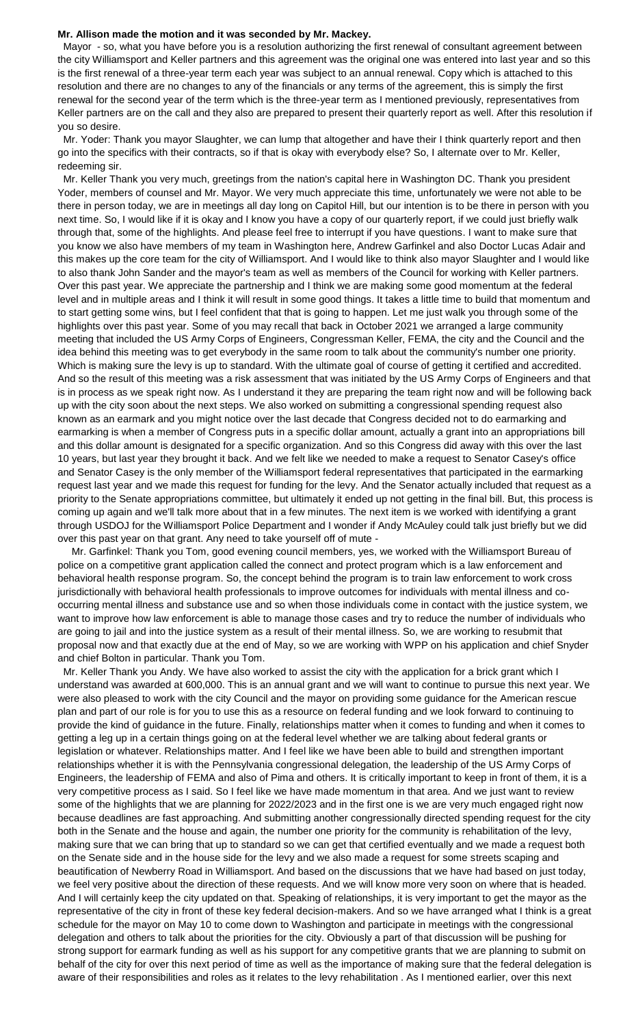### **Mr. Allison made the motion and it was seconded by Mr. Mackey.**

 Mayor - so, what you have before you is a resolution authorizing the first renewal of consultant agreement between the city Williamsport and Keller partners and this agreement was the original one was entered into last year and so this is the first renewal of a three-year term each year was subject to an annual renewal. Copy which is attached to this resolution and there are no changes to any of the financials or any terms of the agreement, this is simply the first renewal for the second year of the term which is the three-year term as I mentioned previously, representatives from Keller partners are on the call and they also are prepared to present their quarterly report as well. After this resolution if you so desire.

 Mr. Yoder: Thank you mayor Slaughter, we can lump that altogether and have their I think quarterly report and then go into the specifics with their contracts, so if that is okay with everybody else? So, I alternate over to Mr. Keller, redeeming sir.

 Mr. Keller Thank you very much, greetings from the nation's capital here in Washington DC. Thank you president Yoder, members of counsel and Mr. Mayor. We very much appreciate this time, unfortunately we were not able to be there in person today, we are in meetings all day long on Capitol Hill, but our intention is to be there in person with you next time. So, I would like if it is okay and I know you have a copy of our quarterly report, if we could just briefly walk through that, some of the highlights. And please feel free to interrupt if you have questions. I want to make sure that you know we also have members of my team in Washington here, Andrew Garfinkel and also Doctor Lucas Adair and this makes up the core team for the city of Williamsport. And I would like to think also mayor Slaughter and I would like to also thank John Sander and the mayor's team as well as members of the Council for working with Keller partners. Over this past year. We appreciate the partnership and I think we are making some good momentum at the federal level and in multiple areas and I think it will result in some good things. It takes a little time to build that momentum and to start getting some wins, but I feel confident that that is going to happen. Let me just walk you through some of the highlights over this past year. Some of you may recall that back in October 2021 we arranged a large community meeting that included the US Army Corps of Engineers, Congressman Keller, FEMA, the city and the Council and the idea behind this meeting was to get everybody in the same room to talk about the community's number one priority. Which is making sure the levy is up to standard. With the ultimate goal of course of getting it certified and accredited. And so the result of this meeting was a risk assessment that was initiated by the US Army Corps of Engineers and that is in process as we speak right now. As I understand it they are preparing the team right now and will be following back up with the city soon about the next steps. We also worked on submitting a congressional spending request also known as an earmark and you might notice over the last decade that Congress decided not to do earmarking and earmarking is when a member of Congress puts in a specific dollar amount, actually a grant into an appropriations bill and this dollar amount is designated for a specific organization. And so this Congress did away with this over the last 10 years, but last year they brought it back. And we felt like we needed to make a request to Senator Casey's office and Senator Casey is the only member of the Williamsport federal representatives that participated in the earmarking request last year and we made this request for funding for the levy. And the Senator actually included that request as a priority to the Senate appropriations committee, but ultimately it ended up not getting in the final bill. But, this process is coming up again and we'll talk more about that in a few minutes. The next item is we worked with identifying a grant through USDOJ for the Williamsport Police Department and I wonder if Andy McAuley could talk just briefly but we did over this past year on that grant. Any need to take yourself off of mute -

 Mr. Garfinkel: Thank you Tom, good evening council members, yes, we worked with the Williamsport Bureau of police on a competitive grant application called the connect and protect program which is a law enforcement and behavioral health response program. So, the concept behind the program is to train law enforcement to work cross jurisdictionally with behavioral health professionals to improve outcomes for individuals with mental illness and cooccurring mental illness and substance use and so when those individuals come in contact with the justice system, we want to improve how law enforcement is able to manage those cases and try to reduce the number of individuals who are going to jail and into the justice system as a result of their mental illness. So, we are working to resubmit that proposal now and that exactly due at the end of May, so we are working with WPP on his application and chief Snyder and chief Bolton in particular. Thank you Tom.

 Mr. Keller Thank you Andy. We have also worked to assist the city with the application for a brick grant which I understand was awarded at 600,000. This is an annual grant and we will want to continue to pursue this next year. We were also pleased to work with the city Council and the mayor on providing some guidance for the American rescue plan and part of our role is for you to use this as a resource on federal funding and we look forward to continuing to provide the kind of guidance in the future. Finally, relationships matter when it comes to funding and when it comes to getting a leg up in a certain things going on at the federal level whether we are talking about federal grants or legislation or whatever. Relationships matter. And I feel like we have been able to build and strengthen important relationships whether it is with the Pennsylvania congressional delegation, the leadership of the US Army Corps of Engineers, the leadership of FEMA and also of Pima and others. It is critically important to keep in front of them, it is a very competitive process as I said. So I feel like we have made momentum in that area. And we just want to review some of the highlights that we are planning for 2022/2023 and in the first one is we are very much engaged right now because deadlines are fast approaching. And submitting another congressionally directed spending request for the city both in the Senate and the house and again, the number one priority for the community is rehabilitation of the levy, making sure that we can bring that up to standard so we can get that certified eventually and we made a request both on the Senate side and in the house side for the levy and we also made a request for some streets scaping and beautification of Newberry Road in Williamsport. And based on the discussions that we have had based on just today, we feel very positive about the direction of these requests. And we will know more very soon on where that is headed. And I will certainly keep the city updated on that. Speaking of relationships, it is very important to get the mayor as the representative of the city in front of these key federal decision-makers. And so we have arranged what I think is a great schedule for the mayor on May 10 to come down to Washington and participate in meetings with the congressional delegation and others to talk about the priorities for the city. Obviously a part of that discussion will be pushing for strong support for earmark funding as well as his support for any competitive grants that we are planning to submit on behalf of the city for over this next period of time as well as the importance of making sure that the federal delegation is aware of their responsibilities and roles as it relates to the levy rehabilitation . As I mentioned earlier, over this next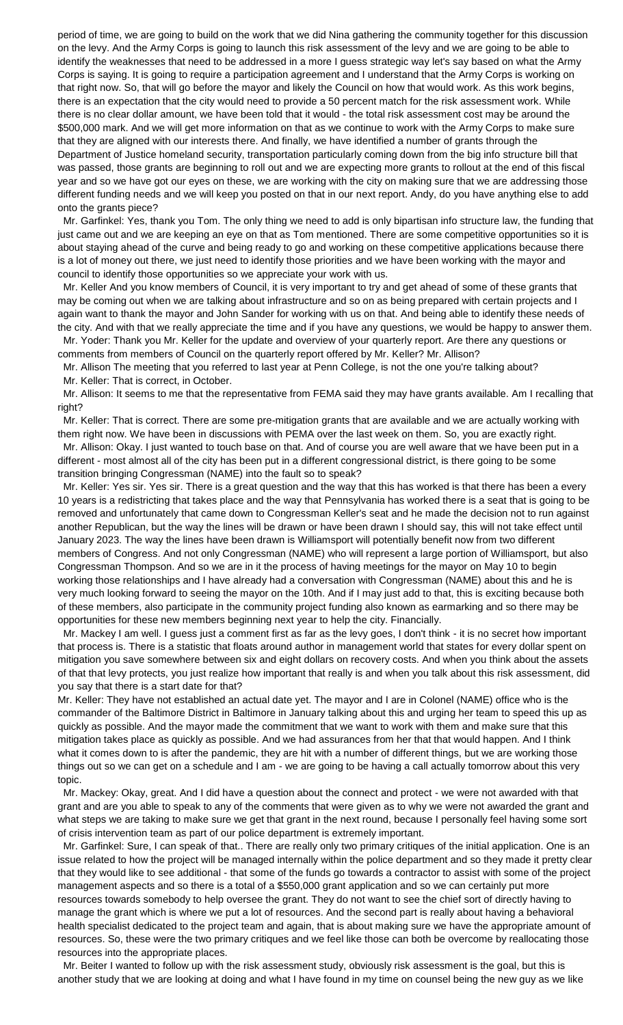period of time, we are going to build on the work that we did Nina gathering the community together for this discussion on the levy. And the Army Corps is going to launch this risk assessment of the levy and we are going to be able to identify the weaknesses that need to be addressed in a more I guess strategic way let's say based on what the Army Corps is saying. It is going to require a participation agreement and I understand that the Army Corps is working on that right now. So, that will go before the mayor and likely the Council on how that would work. As this work begins, there is an expectation that the city would need to provide a 50 percent match for the risk assessment work. While there is no clear dollar amount, we have been told that it would - the total risk assessment cost may be around the \$500,000 mark. And we will get more information on that as we continue to work with the Army Corps to make sure that they are aligned with our interests there. And finally, we have identified a number of grants through the Department of Justice homeland security, transportation particularly coming down from the big info structure bill that was passed, those grants are beginning to roll out and we are expecting more grants to rollout at the end of this fiscal year and so we have got our eyes on these, we are working with the city on making sure that we are addressing those different funding needs and we will keep you posted on that in our next report. Andy, do you have anything else to add onto the grants piece?

 Mr. Garfinkel: Yes, thank you Tom. The only thing we need to add is only bipartisan info structure law, the funding that just came out and we are keeping an eye on that as Tom mentioned. There are some competitive opportunities so it is about staying ahead of the curve and being ready to go and working on these competitive applications because there is a lot of money out there, we just need to identify those priorities and we have been working with the mayor and council to identify those opportunities so we appreciate your work with us.

 Mr. Keller And you know members of Council, it is very important to try and get ahead of some of these grants that may be coming out when we are talking about infrastructure and so on as being prepared with certain projects and I again want to thank the mayor and John Sander for working with us on that. And being able to identify these needs of the city. And with that we really appreciate the time and if you have any questions, we would be happy to answer them.

 Mr. Yoder: Thank you Mr. Keller for the update and overview of your quarterly report. Are there any questions or comments from members of Council on the quarterly report offered by Mr. Keller? Mr. Allison?

 Mr. Allison The meeting that you referred to last year at Penn College, is not the one you're talking about? Mr. Keller: That is correct, in October.

 Mr. Allison: It seems to me that the representative from FEMA said they may have grants available. Am I recalling that right?

 Mr. Keller: That is correct. There are some pre-mitigation grants that are available and we are actually working with them right now. We have been in discussions with PEMA over the last week on them. So, you are exactly right.

 Mr. Allison: Okay. I just wanted to touch base on that. And of course you are well aware that we have been put in a different - most almost all of the city has been put in a different congressional district, is there going to be some transition bringing Congressman (NAME) into the fault so to speak?

 Mr. Keller: Yes sir. Yes sir. There is a great question and the way that this has worked is that there has been a every 10 years is a redistricting that takes place and the way that Pennsylvania has worked there is a seat that is going to be removed and unfortunately that came down to Congressman Keller's seat and he made the decision not to run against another Republican, but the way the lines will be drawn or have been drawn I should say, this will not take effect until January 2023. The way the lines have been drawn is Williamsport will potentially benefit now from two different members of Congress. And not only Congressman (NAME) who will represent a large portion of Williamsport, but also Congressman Thompson. And so we are in it the process of having meetings for the mayor on May 10 to begin working those relationships and I have already had a conversation with Congressman (NAME) about this and he is very much looking forward to seeing the mayor on the 10th. And if I may just add to that, this is exciting because both of these members, also participate in the community project funding also known as earmarking and so there may be opportunities for these new members beginning next year to help the city. Financially.

 Mr. Mackey I am well. I guess just a comment first as far as the levy goes, I don't think - it is no secret how important that process is. There is a statistic that floats around author in management world that states for every dollar spent on mitigation you save somewhere between six and eight dollars on recovery costs. And when you think about the assets of that that levy protects, you just realize how important that really is and when you talk about this risk assessment, did you say that there is a start date for that?

Mr. Keller: They have not established an actual date yet. The mayor and I are in Colonel (NAME) office who is the commander of the Baltimore District in Baltimore in January talking about this and urging her team to speed this up as quickly as possible. And the mayor made the commitment that we want to work with them and make sure that this mitigation takes place as quickly as possible. And we had assurances from her that that would happen. And I think what it comes down to is after the pandemic, they are hit with a number of different things, but we are working those things out so we can get on a schedule and I am - we are going to be having a call actually tomorrow about this very topic.

 Mr. Mackey: Okay, great. And I did have a question about the connect and protect - we were not awarded with that grant and are you able to speak to any of the comments that were given as to why we were not awarded the grant and what steps we are taking to make sure we get that grant in the next round, because I personally feel having some sort of crisis intervention team as part of our police department is extremely important.

 Mr. Garfinkel: Sure, I can speak of that.. There are really only two primary critiques of the initial application. One is an issue related to how the project will be managed internally within the police department and so they made it pretty clear that they would like to see additional - that some of the funds go towards a contractor to assist with some of the project management aspects and so there is a total of a \$550,000 grant application and so we can certainly put more resources towards somebody to help oversee the grant. They do not want to see the chief sort of directly having to manage the grant which is where we put a lot of resources. And the second part is really about having a behavioral health specialist dedicated to the project team and again, that is about making sure we have the appropriate amount of resources. So, these were the two primary critiques and we feel like those can both be overcome by reallocating those resources into the appropriate places.

 Mr. Beiter I wanted to follow up with the risk assessment study, obviously risk assessment is the goal, but this is another study that we are looking at doing and what I have found in my time on counsel being the new guy as we like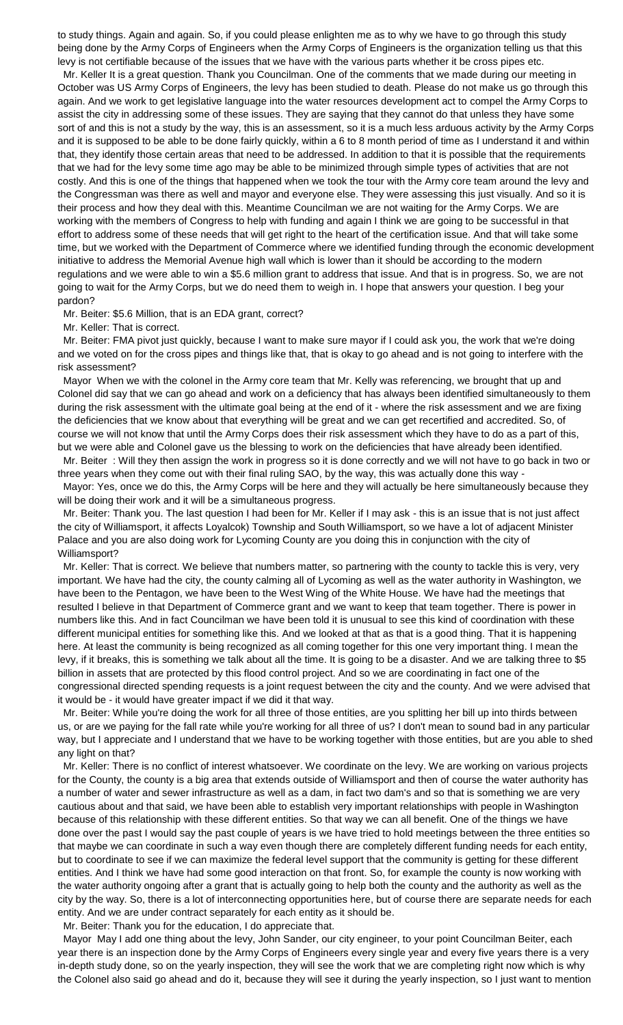to study things. Again and again. So, if you could please enlighten me as to why we have to go through this study being done by the Army Corps of Engineers when the Army Corps of Engineers is the organization telling us that this levy is not certifiable because of the issues that we have with the various parts whether it be cross pipes etc.

 Mr. Keller It is a great question. Thank you Councilman. One of the comments that we made during our meeting in October was US Army Corps of Engineers, the levy has been studied to death. Please do not make us go through this again. And we work to get legislative language into the water resources development act to compel the Army Corps to assist the city in addressing some of these issues. They are saying that they cannot do that unless they have some sort of and this is not a study by the way, this is an assessment, so it is a much less arduous activity by the Army Corps and it is supposed to be able to be done fairly quickly, within a 6 to 8 month period of time as I understand it and within that, they identify those certain areas that need to be addressed. In addition to that it is possible that the requirements that we had for the levy some time ago may be able to be minimized through simple types of activities that are not costly. And this is one of the things that happened when we took the tour with the Army core team around the levy and the Congressman was there as well and mayor and everyone else. They were assessing this just visually. And so it is their process and how they deal with this. Meantime Councilman we are not waiting for the Army Corps. We are working with the members of Congress to help with funding and again I think we are going to be successful in that effort to address some of these needs that will get right to the heart of the certification issue. And that will take some time, but we worked with the Department of Commerce where we identified funding through the economic development initiative to address the Memorial Avenue high wall which is lower than it should be according to the modern regulations and we were able to win a \$5.6 million grant to address that issue. And that is in progress. So, we are not going to wait for the Army Corps, but we do need them to weigh in. I hope that answers your question. I beg your pardon?

Mr. Beiter: \$5.6 Million, that is an EDA grant, correct?

Mr. Keller: That is correct.

 Mr. Beiter: FMA pivot just quickly, because I want to make sure mayor if I could ask you, the work that we're doing and we voted on for the cross pipes and things like that, that is okay to go ahead and is not going to interfere with the risk assessment?

 Mayor When we with the colonel in the Army core team that Mr. Kelly was referencing, we brought that up and Colonel did say that we can go ahead and work on a deficiency that has always been identified simultaneously to them during the risk assessment with the ultimate goal being at the end of it - where the risk assessment and we are fixing the deficiencies that we know about that everything will be great and we can get recertified and accredited. So, of course we will not know that until the Army Corps does their risk assessment which they have to do as a part of this, but we were able and Colonel gave us the blessing to work on the deficiencies that have already been identified.

 Mr. Beiter : Will they then assign the work in progress so it is done correctly and we will not have to go back in two or three years when they come out with their final ruling SAO, by the way, this was actually done this way -

 Mayor: Yes, once we do this, the Army Corps will be here and they will actually be here simultaneously because they will be doing their work and it will be a simultaneous progress.

 Mr. Beiter: Thank you. The last question I had been for Mr. Keller if I may ask - this is an issue that is not just affect the city of Williamsport, it affects Loyalcok) Township and South Williamsport, so we have a lot of adjacent Minister Palace and you are also doing work for Lycoming County are you doing this in conjunction with the city of Williamsport?

 Mr. Keller: That is correct. We believe that numbers matter, so partnering with the county to tackle this is very, very important. We have had the city, the county calming all of Lycoming as well as the water authority in Washington, we have been to the Pentagon, we have been to the West Wing of the White House. We have had the meetings that resulted I believe in that Department of Commerce grant and we want to keep that team together. There is power in numbers like this. And in fact Councilman we have been told it is unusual to see this kind of coordination with these different municipal entities for something like this. And we looked at that as that is a good thing. That it is happening here. At least the community is being recognized as all coming together for this one very important thing. I mean the levy, if it breaks, this is something we talk about all the time. It is going to be a disaster. And we are talking three to \$5 billion in assets that are protected by this flood control project. And so we are coordinating in fact one of the congressional directed spending requests is a joint request between the city and the county. And we were advised that it would be - it would have greater impact if we did it that way.

 Mr. Beiter: While you're doing the work for all three of those entities, are you splitting her bill up into thirds between us, or are we paying for the fall rate while you're working for all three of us? I don't mean to sound bad in any particular way, but I appreciate and I understand that we have to be working together with those entities, but are you able to shed any light on that?

 Mr. Keller: There is no conflict of interest whatsoever. We coordinate on the levy. We are working on various projects for the County, the county is a big area that extends outside of Williamsport and then of course the water authority has a number of water and sewer infrastructure as well as a dam, in fact two dam's and so that is something we are very cautious about and that said, we have been able to establish very important relationships with people in Washington because of this relationship with these different entities. So that way we can all benefit. One of the things we have done over the past I would say the past couple of years is we have tried to hold meetings between the three entities so that maybe we can coordinate in such a way even though there are completely different funding needs for each entity, but to coordinate to see if we can maximize the federal level support that the community is getting for these different entities. And I think we have had some good interaction on that front. So, for example the county is now working with the water authority ongoing after a grant that is actually going to help both the county and the authority as well as the city by the way. So, there is a lot of interconnecting opportunities here, but of course there are separate needs for each entity. And we are under contract separately for each entity as it should be.

Mr. Beiter: Thank you for the education, I do appreciate that.

 Mayor May I add one thing about the levy, John Sander, our city engineer, to your point Councilman Beiter, each year there is an inspection done by the Army Corps of Engineers every single year and every five years there is a very in-depth study done, so on the yearly inspection, they will see the work that we are completing right now which is why the Colonel also said go ahead and do it, because they will see it during the yearly inspection, so I just want to mention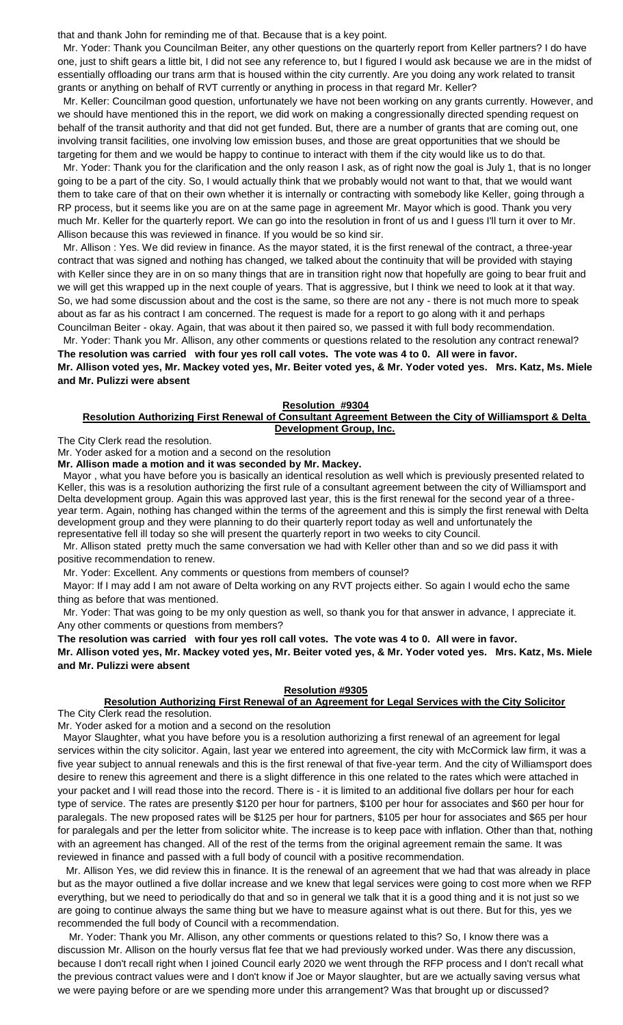that and thank John for reminding me of that. Because that is a key point.

 Mr. Yoder: Thank you Councilman Beiter, any other questions on the quarterly report from Keller partners? I do have one, just to shift gears a little bit, I did not see any reference to, but I figured I would ask because we are in the midst of essentially offloading our trans arm that is housed within the city currently. Are you doing any work related to transit grants or anything on behalf of RVT currently or anything in process in that regard Mr. Keller?

 Mr. Keller: Councilman good question, unfortunately we have not been working on any grants currently. However, and we should have mentioned this in the report, we did work on making a congressionally directed spending request on behalf of the transit authority and that did not get funded. But, there are a number of grants that are coming out, one involving transit facilities, one involving low emission buses, and those are great opportunities that we should be targeting for them and we would be happy to continue to interact with them if the city would like us to do that.

 Mr. Yoder: Thank you for the clarification and the only reason I ask, as of right now the goal is July 1, that is no longer going to be a part of the city. So, I would actually think that we probably would not want to that, that we would want them to take care of that on their own whether it is internally or contracting with somebody like Keller, going through a RP process, but it seems like you are on at the same page in agreement Mr. Mayor which is good. Thank you very much Mr. Keller for the quarterly report. We can go into the resolution in front of us and I guess I'll turn it over to Mr. Allison because this was reviewed in finance. If you would be so kind sir.

 Mr. Allison : Yes. We did review in finance. As the mayor stated, it is the first renewal of the contract, a three-year contract that was signed and nothing has changed, we talked about the continuity that will be provided with staying with Keller since they are in on so many things that are in transition right now that hopefully are going to bear fruit and we will get this wrapped up in the next couple of years. That is aggressive, but I think we need to look at it that way. So, we had some discussion about and the cost is the same, so there are not any - there is not much more to speak about as far as his contract I am concerned. The request is made for a report to go along with it and perhaps Councilman Beiter - okay. Again, that was about it then paired so, we passed it with full body recommendation.

 Mr. Yoder: Thank you Mr. Allison, any other comments or questions related to the resolution any contract renewal? **The resolution was carried with four yes roll call votes. The vote was 4 to 0. All were in favor. Mr. Allison voted yes, Mr. Mackey voted yes, Mr. Beiter voted yes, & Mr. Yoder voted yes. Mrs. Katz, Ms. Miele**

# **and Mr. Pulizzi were absent**

### **Resolution #9304**

### **Resolution Authorizing First Renewal of Consultant Agreement Between the City of Williamsport & Delta Development Group, Inc.**

The City Clerk read the resolution.

Mr. Yoder asked for a motion and a second on the resolution

**Mr. Allison made a motion and it was seconded by Mr. Mackey.**

 Mayor , what you have before you is basically an identical resolution as well which is previously presented related to Keller, this was is a resolution authorizing the first rule of a consultant agreement between the city of Williamsport and Delta development group. Again this was approved last year, this is the first renewal for the second year of a threeyear term. Again, nothing has changed within the terms of the agreement and this is simply the first renewal with Delta development group and they were planning to do their quarterly report today as well and unfortunately the representative fell ill today so she will present the quarterly report in two weeks to city Council.

 Mr. Allison stated pretty much the same conversation we had with Keller other than and so we did pass it with positive recommendation to renew.

Mr. Yoder: Excellent. Any comments or questions from members of counsel?

 Mayor: If I may add I am not aware of Delta working on any RVT projects either. So again I would echo the same thing as before that was mentioned.

 Mr. Yoder: That was going to be my only question as well, so thank you for that answer in advance, I appreciate it. Any other comments or questions from members?

**The resolution was carried with four yes roll call votes. The vote was 4 to 0. All were in favor.**

**Mr. Allison voted yes, Mr. Mackey voted yes, Mr. Beiter voted yes, & Mr. Yoder voted yes. Mrs. Katz, Ms. Miele and Mr. Pulizzi were absent**

### **Resolution #9305**

**Resolution Authorizing First Renewal of an Agreement for Legal Services with the City Solicitor** The City Clerk read the resolution.

Mr. Yoder asked for a motion and a second on the resolution

 Mayor Slaughter, what you have before you is a resolution authorizing a first renewal of an agreement for legal services within the city solicitor. Again, last year we entered into agreement, the city with McCormick law firm, it was a five year subject to annual renewals and this is the first renewal of that five-year term. And the city of Williamsport does desire to renew this agreement and there is a slight difference in this one related to the rates which were attached in your packet and I will read those into the record. There is - it is limited to an additional five dollars per hour for each type of service. The rates are presently \$120 per hour for partners, \$100 per hour for associates and \$60 per hour for paralegals. The new proposed rates will be \$125 per hour for partners, \$105 per hour for associates and \$65 per hour for paralegals and per the letter from solicitor white. The increase is to keep pace with inflation. Other than that, nothing with an agreement has changed. All of the rest of the terms from the original agreement remain the same. It was reviewed in finance and passed with a full body of council with a positive recommendation.

 Mr. Allison Yes, we did review this in finance. It is the renewal of an agreement that we had that was already in place but as the mayor outlined a five dollar increase and we knew that legal services were going to cost more when we RFP everything, but we need to periodically do that and so in general we talk that it is a good thing and it is not just so we are going to continue always the same thing but we have to measure against what is out there. But for this, yes we recommended the full body of Council with a recommendation.

 Mr. Yoder: Thank you Mr. Allison, any other comments or questions related to this? So, I know there was a discussion Mr. Allison on the hourly versus flat fee that we had previously worked under. Was there any discussion, because I don't recall right when I joined Council early 2020 we went through the RFP process and I don't recall what the previous contract values were and I don't know if Joe or Mayor slaughter, but are we actually saving versus what we were paying before or are we spending more under this arrangement? Was that brought up or discussed?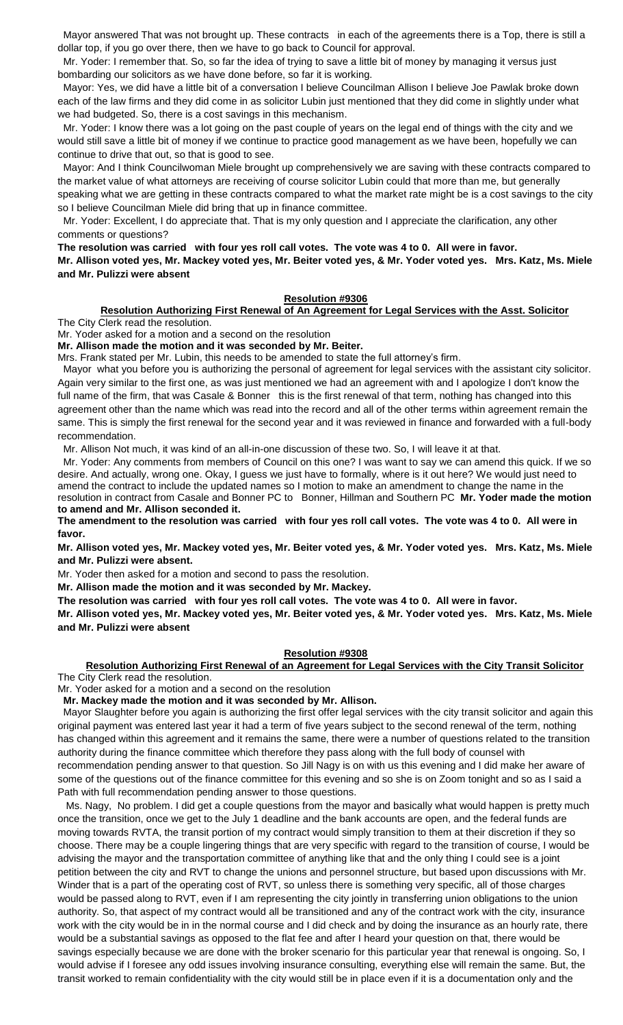Mayor answered That was not brought up. These contracts in each of the agreements there is a Top, there is still a dollar top, if you go over there, then we have to go back to Council for approval.

 Mr. Yoder: I remember that. So, so far the idea of trying to save a little bit of money by managing it versus just bombarding our solicitors as we have done before, so far it is working.

 Mayor: Yes, we did have a little bit of a conversation I believe Councilman Allison I believe Joe Pawlak broke down each of the law firms and they did come in as solicitor Lubin just mentioned that they did come in slightly under what we had budgeted. So, there is a cost savings in this mechanism.

 Mr. Yoder: I know there was a lot going on the past couple of years on the legal end of things with the city and we would still save a little bit of money if we continue to practice good management as we have been, hopefully we can continue to drive that out, so that is good to see.

 Mayor: And I think Councilwoman Miele brought up comprehensively we are saving with these contracts compared to the market value of what attorneys are receiving of course solicitor Lubin could that more than me, but generally speaking what we are getting in these contracts compared to what the market rate might be is a cost savings to the city so I believe Councilman Miele did bring that up in finance committee.

 Mr. Yoder: Excellent, I do appreciate that. That is my only question and I appreciate the clarification, any other comments or questions?

**The resolution was carried with four yes roll call votes. The vote was 4 to 0. All were in favor. Mr. Allison voted yes, Mr. Mackey voted yes, Mr. Beiter voted yes, & Mr. Yoder voted yes. Mrs. Katz, Ms. Miele and Mr. Pulizzi were absent**

## **Resolution #9306**

# **Resolution Authorizing First Renewal of An Agreement for Legal Services with the Asst. Solicitor**

The City Clerk read the resolution.

Mr. Yoder asked for a motion and a second on the resolution **Mr. Allison made the motion and it was seconded by Mr. Beiter.**

Mrs. Frank stated per Mr. Lubin, this needs to be amended to state the full attorney's firm.

 Mayor what you before you is authorizing the personal of agreement for legal services with the assistant city solicitor. Again very similar to the first one, as was just mentioned we had an agreement with and I apologize I don't know the full name of the firm, that was Casale & Bonner this is the first renewal of that term, nothing has changed into this agreement other than the name which was read into the record and all of the other terms within agreement remain the same. This is simply the first renewal for the second year and it was reviewed in finance and forwarded with a full-body recommendation.

Mr. Allison Not much, it was kind of an all-in-one discussion of these two. So, I will leave it at that.

 Mr. Yoder: Any comments from members of Council on this one? I was want to say we can amend this quick. If we so desire. And actually, wrong one. Okay, I guess we just have to formally, where is it out here? We would just need to amend the contract to include the updated names so I motion to make an amendment to change the name in the resolution in contract from Casale and Bonner PC to Bonner, Hillman and Southern PC **Mr. Yoder made the motion to amend and Mr. Allison seconded it.**

**The amendment to the resolution was carried with four yes roll call votes. The vote was 4 to 0. All were in favor.**

**Mr. Allison voted yes, Mr. Mackey voted yes, Mr. Beiter voted yes, & Mr. Yoder voted yes. Mrs. Katz, Ms. Miele and Mr. Pulizzi were absent.**

Mr. Yoder then asked for a motion and second to pass the resolution.

**Mr. Allison made the motion and it was seconded by Mr. Mackey.**

**The resolution was carried with four yes roll call votes. The vote was 4 to 0. All were in favor.**

**Mr. Allison voted yes, Mr. Mackey voted yes, Mr. Beiter voted yes, & Mr. Yoder voted yes. Mrs. Katz, Ms. Miele and Mr. Pulizzi were absent**

## **Resolution #9308**

## **Resolution Authorizing First Renewal of an Agreement for Legal Services with the City Transit Solicitor** The City Clerk read the resolution.

Mr. Yoder asked for a motion and a second on the resolution

 **Mr. Mackey made the motion and it was seconded by Mr. Allison.**

 Mayor Slaughter before you again is authorizing the first offer legal services with the city transit solicitor and again this original payment was entered last year it had a term of five years subject to the second renewal of the term, nothing has changed within this agreement and it remains the same, there were a number of questions related to the transition authority during the finance committee which therefore they pass along with the full body of counsel with recommendation pending answer to that question. So Jill Nagy is on with us this evening and I did make her aware of some of the questions out of the finance committee for this evening and so she is on Zoom tonight and so as I said a Path with full recommendation pending answer to those questions.

 Ms. Nagy, No problem. I did get a couple questions from the mayor and basically what would happen is pretty much once the transition, once we get to the July 1 deadline and the bank accounts are open, and the federal funds are moving towards RVTA, the transit portion of my contract would simply transition to them at their discretion if they so choose. There may be a couple lingering things that are very specific with regard to the transition of course, I would be advising the mayor and the transportation committee of anything like that and the only thing I could see is a joint petition between the city and RVT to change the unions and personnel structure, but based upon discussions with Mr. Winder that is a part of the operating cost of RVT, so unless there is something very specific, all of those charges would be passed along to RVT, even if I am representing the city jointly in transferring union obligations to the union authority. So, that aspect of my contract would all be transitioned and any of the contract work with the city, insurance work with the city would be in in the normal course and I did check and by doing the insurance as an hourly rate, there would be a substantial savings as opposed to the flat fee and after I heard your question on that, there would be savings especially because we are done with the broker scenario for this particular year that renewal is ongoing. So, I would advise if I foresee any odd issues involving insurance consulting, everything else will remain the same. But, the transit worked to remain confidentiality with the city would still be in place even if it is a documentation only and the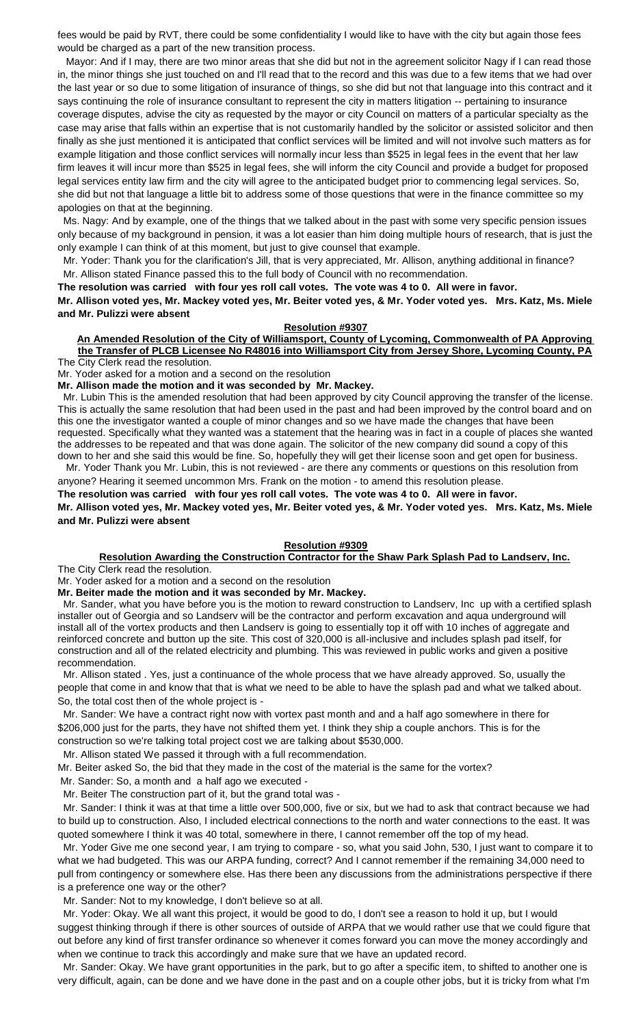fees would be paid by RVT, there could be some confidentiality I would like to have with the city but again those fees would be charged as a part of the new transition process.

 Mayor: And if I may, there are two minor areas that she did but not in the agreement solicitor Nagy if I can read those in, the minor things she just touched on and I'll read that to the record and this was due to a few items that we had over the last year or so due to some litigation of insurance of things, so she did but not that language into this contract and it says continuing the role of insurance consultant to represent the city in matters litigation -- pertaining to insurance coverage disputes, advise the city as requested by the mayor or city Council on matters of a particular specialty as the case may arise that falls within an expertise that is not customarily handled by the solicitor or assisted solicitor and then finally as she just mentioned it is anticipated that conflict services will be limited and will not involve such matters as for example litigation and those conflict services will normally incur less than \$525 in legal fees in the event that her law firm leaves it will incur more than \$525 in legal fees, she will inform the city Council and provide a budget for proposed legal services entity law firm and the city will agree to the anticipated budget prior to commencing legal services. So, she did but not that language a little bit to address some of those questions that were in the finance committee so my apologies on that at the beginning.

 Ms. Nagy: And by example, one of the things that we talked about in the past with some very specific pension issues only because of my background in pension, it was a lot easier than him doing multiple hours of research, that is just the only example I can think of at this moment, but just to give counsel that example.

 Mr. Yoder: Thank you for the clarification's Jill, that is very appreciated, Mr. Allison, anything additional in finance? Mr. Allison stated Finance passed this to the full body of Council with no recommendation.

**The resolution was carried with four yes roll call votes. The vote was 4 to 0. All were in favor.**

**Mr. Allison voted yes, Mr. Mackey voted yes, Mr. Beiter voted yes, & Mr. Yoder voted yes. Mrs. Katz, Ms. Miele and Mr. Pulizzi were absent**

#### **Resolution #9307**

# **An Amended Resolution of the City of Williamsport, County of Lycoming, Commonwealth of PA Approving the Transfer of PLCB Licensee No R48016 into Williamsport City from Jersey Shore, Lycoming County, PA**

The City Clerk read the resolution.

Mr. Yoder asked for a motion and a second on the resolution

**Mr. Allison made the motion and it was seconded by Mr. Mackey.**

 Mr. Lubin This is the amended resolution that had been approved by city Council approving the transfer of the license. This is actually the same resolution that had been used in the past and had been improved by the control board and on this one the investigator wanted a couple of minor changes and so we have made the changes that have been requested. Specifically what they wanted was a statement that the hearing was in fact in a couple of places she wanted the addresses to be repeated and that was done again. The solicitor of the new company did sound a copy of this down to her and she said this would be fine. So, hopefully they will get their license soon and get open for business.

Mr. Yoder Thank you Mr. Lubin, this is not reviewed - are there any comments or questions on this resolution from

anyone? Hearing it seemed uncommon Mrs. Frank on the motion - to amend this resolution please. **The resolution was carried with four yes roll call votes. The vote was 4 to 0. All were in favor.**

**Mr. Allison voted yes, Mr. Mackey voted yes, Mr. Beiter voted yes, & Mr. Yoder voted yes. Mrs. Katz, Ms. Miele**

### **and Mr. Pulizzi were absent**

### **Resolution #9309**

### **Resolution Awarding the Construction Contractor for the Shaw Park Splash Pad to Landserv, Inc.** The City Clerk read the resolution.

Mr. Yoder asked for a motion and a second on the resolution

**Mr. Beiter made the motion and it was seconded by Mr. Mackey.**

 Mr. Sander, what you have before you is the motion to reward construction to Landserv, Inc up with a certified splash installer out of Georgia and so Landserv will be the contractor and perform excavation and aqua underground will install all of the vortex products and then Landserv is going to essentially top it off with 10 inches of aggregate and reinforced concrete and button up the site. This cost of 320,000 is all-inclusive and includes splash pad itself, for construction and all of the related electricity and plumbing. This was reviewed in public works and given a positive recommendation.

 Mr. Allison stated . Yes, just a continuance of the whole process that we have already approved. So, usually the people that come in and know that that is what we need to be able to have the splash pad and what we talked about. So, the total cost then of the whole project is -

 Mr. Sander: We have a contract right now with vortex past month and and a half ago somewhere in there for \$206,000 just for the parts, they have not shifted them yet. I think they ship a couple anchors. This is for the construction so we're talking total project cost we are talking about \$530,000.

Mr. Allison stated We passed it through with a full recommendation.

Mr. Beiter asked So, the bid that they made in the cost of the material is the same for the vortex?

Mr. Sander: So, a month and a half ago we executed -

Mr. Beiter The construction part of it, but the grand total was -

 Mr. Sander: I think it was at that time a little over 500,000, five or six, but we had to ask that contract because we had to build up to construction. Also, I included electrical connections to the north and water connections to the east. It was quoted somewhere I think it was 40 total, somewhere in there, I cannot remember off the top of my head.

 Mr. Yoder Give me one second year, I am trying to compare - so, what you said John, 530, I just want to compare it to what we had budgeted. This was our ARPA funding, correct? And I cannot remember if the remaining 34,000 need to pull from contingency or somewhere else. Has there been any discussions from the administrations perspective if there is a preference one way or the other?

Mr. Sander: Not to my knowledge, I don't believe so at all.

 Mr. Yoder: Okay. We all want this project, it would be good to do, I don't see a reason to hold it up, but I would suggest thinking through if there is other sources of outside of ARPA that we would rather use that we could figure that out before any kind of first transfer ordinance so whenever it comes forward you can move the money accordingly and when we continue to track this accordingly and make sure that we have an updated record.

 Mr. Sander: Okay. We have grant opportunities in the park, but to go after a specific item, to shifted to another one is very difficult, again, can be done and we have done in the past and on a couple other jobs, but it is tricky from what I'm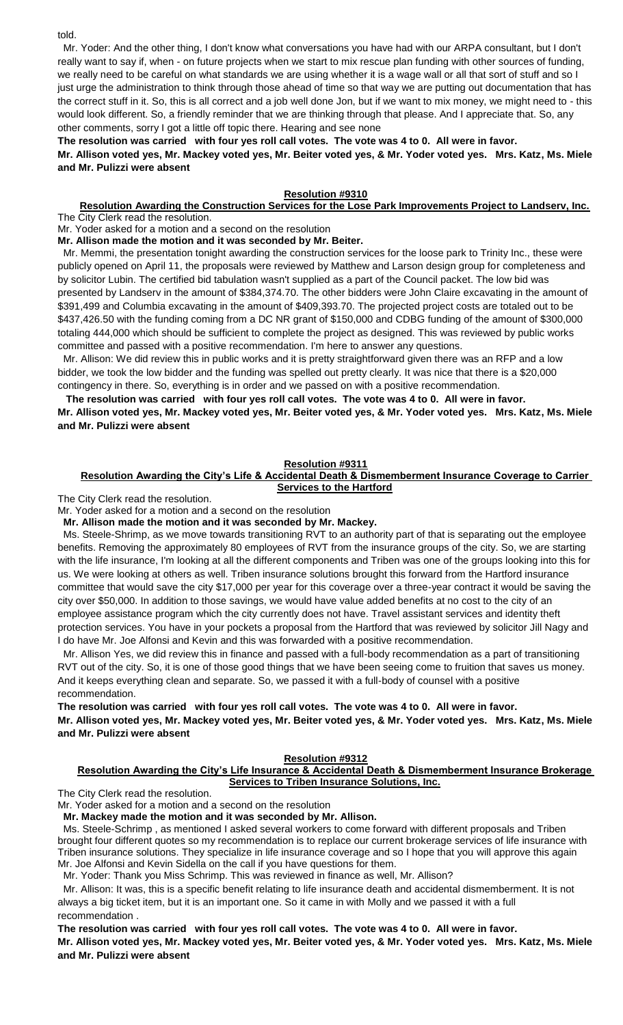told.

 Mr. Yoder: And the other thing, I don't know what conversations you have had with our ARPA consultant, but I don't really want to say if, when - on future projects when we start to mix rescue plan funding with other sources of funding, we really need to be careful on what standards we are using whether it is a wage wall or all that sort of stuff and so I just urge the administration to think through those ahead of time so that way we are putting out documentation that has the correct stuff in it. So, this is all correct and a job well done Jon, but if we want to mix money, we might need to - this would look different. So, a friendly reminder that we are thinking through that please. And I appreciate that. So, any other comments, sorry I got a little off topic there. Hearing and see none

## **The resolution was carried with four yes roll call votes. The vote was 4 to 0. All were in favor. Mr. Allison voted yes, Mr. Mackey voted yes, Mr. Beiter voted yes, & Mr. Yoder voted yes. Mrs. Katz, Ms. Miele and Mr. Pulizzi were absent**

## **Resolution #9310**

**Resolution Awarding the Construction Services for the Lose Park Improvements Project to Landserv, Inc.** The City Clerk read the resolution.

Mr. Yoder asked for a motion and a second on the resolution

**Mr. Allison made the motion and it was seconded by Mr. Beiter.**

 Mr. Memmi, the presentation tonight awarding the construction services for the loose park to Trinity Inc., these were publicly opened on April 11, the proposals were reviewed by Matthew and Larson design group for completeness and by solicitor Lubin. The certified bid tabulation wasn't supplied as a part of the Council packet. The low bid was presented by Landserv in the amount of \$384,374.70. The other bidders were John Claire excavating in the amount of \$391,499 and Columbia excavating in the amount of \$409,393.70. The projected project costs are totaled out to be \$437,426.50 with the funding coming from a DC NR grant of \$150,000 and CDBG funding of the amount of \$300,000 totaling 444,000 which should be sufficient to complete the project as designed. This was reviewed by public works committee and passed with a positive recommendation. I'm here to answer any questions.

 Mr. Allison: We did review this in public works and it is pretty straightforward given there was an RFP and a low bidder, we took the low bidder and the funding was spelled out pretty clearly. It was nice that there is a \$20,000 contingency in there. So, everything is in order and we passed on with a positive recommendation.

 **The resolution was carried with four yes roll call votes. The vote was 4 to 0. All were in favor. Mr. Allison voted yes, Mr. Mackey voted yes, Mr. Beiter voted yes, & Mr. Yoder voted yes. Mrs. Katz, Ms. Miele and Mr. Pulizzi were absent**

### **Resolution #9311**

### **Resolution Awarding the City's Life & Accidental Death & Dismemberment Insurance Coverage to Carrier Services to the Hartford**

The City Clerk read the resolution.

Mr. Yoder asked for a motion and a second on the resolution

 **Mr. Allison made the motion and it was seconded by Mr. Mackey.**

 Ms. Steele-Shrimp, as we move towards transitioning RVT to an authority part of that is separating out the employee benefits. Removing the approximately 80 employees of RVT from the insurance groups of the city. So, we are starting with the life insurance, I'm looking at all the different components and Triben was one of the groups looking into this for us. We were looking at others as well. Triben insurance solutions brought this forward from the Hartford insurance committee that would save the city \$17,000 per year for this coverage over a three-year contract it would be saving the city over \$50,000. In addition to those savings, we would have value added benefits at no cost to the city of an employee assistance program which the city currently does not have. Travel assistant services and identity theft protection services. You have in your pockets a proposal from the Hartford that was reviewed by solicitor Jill Nagy and I do have Mr. Joe Alfonsi and Kevin and this was forwarded with a positive recommendation.

 Mr. Allison Yes, we did review this in finance and passed with a full-body recommendation as a part of transitioning RVT out of the city. So, it is one of those good things that we have been seeing come to fruition that saves us money. And it keeps everything clean and separate. So, we passed it with a full-body of counsel with a positive recommendation.

**The resolution was carried with four yes roll call votes. The vote was 4 to 0. All were in favor. Mr. Allison voted yes, Mr. Mackey voted yes, Mr. Beiter voted yes, & Mr. Yoder voted yes. Mrs. Katz, Ms. Miele and Mr. Pulizzi were absent**

## **Resolution #9312**

## **Resolution Awarding the City's Life Insurance & Accidental Death & Dismemberment Insurance Brokerage Services to Triben Insurance Solutions, Inc.**

The City Clerk read the resolution.

Mr. Yoder asked for a motion and a second on the resolution

 **Mr. Mackey made the motion and it was seconded by Mr. Allison.**

 Ms. Steele-Schrimp , as mentioned I asked several workers to come forward with different proposals and Triben brought four different quotes so my recommendation is to replace our current brokerage services of life insurance with Triben insurance solutions. They specialize in life insurance coverage and so I hope that you will approve this again Mr. Joe Alfonsi and Kevin Sidella on the call if you have questions for them.

Mr. Yoder: Thank you Miss Schrimp. This was reviewed in finance as well, Mr. Allison?

 Mr. Allison: It was, this is a specific benefit relating to life insurance death and accidental dismemberment. It is not always a big ticket item, but it is an important one. So it came in with Molly and we passed it with a full recommendation .

**The resolution was carried with four yes roll call votes. The vote was 4 to 0. All were in favor. Mr. Allison voted yes, Mr. Mackey voted yes, Mr. Beiter voted yes, & Mr. Yoder voted yes. Mrs. Katz, Ms. Miele and Mr. Pulizzi were absent**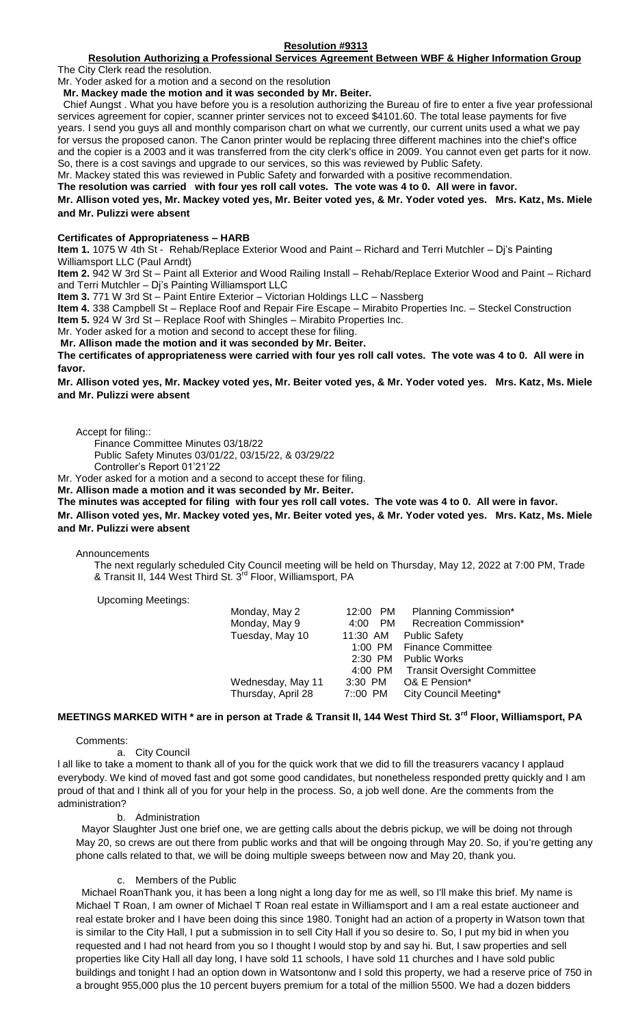## **Resolution #9313**

**Resolution Authorizing a Professional Services Agreement Between WBF & Higher Information Group** The City Clerk read the resolution.

Mr. Yoder asked for a motion and a second on the resolution

 **Mr. Mackey made the motion and it was seconded by Mr. Beiter.**

 Chief Aungst . What you have before you is a resolution authorizing the Bureau of fire to enter a five year professional services agreement for copier, scanner printer services not to exceed \$4101.60. The total lease payments for five years. I send you guys all and monthly comparison chart on what we currently, our current units used a what we pay for versus the proposed canon. The Canon printer would be replacing three different machines into the chief's office and the copier is a 2003 and it was transferred from the city clerk's office in 2009. You cannot even get parts for it now. So, there is a cost savings and upgrade to our services, so this was reviewed by Public Safety.

Mr. Mackey stated this was reviewed in Public Safety and forwarded with a positive recommendation.

**The resolution was carried with four yes roll call votes. The vote was 4 to 0. All were in favor.**

**Mr. Allison voted yes, Mr. Mackey voted yes, Mr. Beiter voted yes, & Mr. Yoder voted yes. Mrs. Katz, Ms. Miele and Mr. Pulizzi were absent**

### **Certificates of Appropriateness – HARB**

**Item 1.** 1075 W 4th St - Rehab/Replace Exterior Wood and Paint – Richard and Terri Mutchler – Dj's Painting Williamsport LLC (Paul Arndt)

**Item 2.** 942 W 3rd St – Paint all Exterior and Wood Railing Install – Rehab/Replace Exterior Wood and Paint – Richard and Terri Mutchler – Dj's Painting Williamsport LLC

**Item 3.** 771 W 3rd St – Paint Entire Exterior – Victorian Holdings LLC – Nassberg

**Item 4.** 338 Campbell St – Replace Roof and Repair Fire Escape – Mirabito Properties Inc. – Steckel Construction

**Item 5.** 924 W 3rd St – Replace Roof with Shingles – Mirabito Properties Inc.

Mr. Yoder asked for a motion and second to accept these for filing. **Mr. Allison made the motion and it was seconded by Mr. Beiter.**

**The certificates of appropriateness were carried with four yes roll call votes. The vote was 4 to 0. All were in favor.**

**Mr. Allison voted yes, Mr. Mackey voted yes, Mr. Beiter voted yes, & Mr. Yoder voted yes. Mrs. Katz, Ms. Miele and Mr. Pulizzi were absent**

Accept for filing::

Finance Committee Minutes 03/18/22

Public Safety Minutes 03/01/22, 03/15/22, & 03/29/22

Controller's Report 01'21'22

Mr. Yoder asked for a motion and a second to accept these for filing.

**Mr. Allison made a motion and it was seconded by Mr. Beiter.**

**The minutes was accepted for filing with four yes roll call votes. The vote was 4 to 0. All were in favor.**

**Mr. Allison voted yes, Mr. Mackey voted yes, Mr. Beiter voted yes, & Mr. Yoder voted yes. Mrs. Katz, Ms. Miele and Mr. Pulizzi were absent**

Announcements

The next regularly scheduled City Council meeting will be held on Thursday, May 12, 2022 at 7:00 PM, Trade & Transit II, 144 West Third St. 3rd Floor, Williamsport, PA

Upcoming Meetings:

| Monday, May 2<br>Monday, May 9 | <b>PM</b><br>12:00<br><b>PM</b><br>4:00 | Planning Commission*<br>Recreation Commission* |
|--------------------------------|-----------------------------------------|------------------------------------------------|
| Tuesday, May 10                | 11:30 AM                                | <b>Public Safety</b>                           |
|                                |                                         | 1:00 PM Finance Committee                      |
|                                | $2:30$ PM                               | <b>Public Works</b>                            |
|                                | 4:00 PM                                 | <b>Transit Oversight Committee</b>             |
| Wednesday, May 11              | 3:30 PM                                 | O& E Pension*                                  |
| Thursday, April 28             | 7::00 PM                                | City Council Meeting*                          |
|                                |                                         |                                                |

## **MEETINGS MARKED WITH \* are in person at Trade & Transit II, 144 West Third St. 3rd Floor, Williamsport, PA**

Comments:

a. City Council

l all like to take a moment to thank all of you for the quick work that we did to fill the treasurers vacancy I applaud everybody. We kind of moved fast and got some good candidates, but nonetheless responded pretty quickly and I am proud of that and I think all of you for your help in the process. So, a job well done. Are the comments from the administration?

b. Administration

 Mayor Slaughter Just one brief one, we are getting calls about the debris pickup, we will be doing not through May 20, so crews are out there from public works and that will be ongoing through May 20. So, if you're getting any phone calls related to that, we will be doing multiple sweeps between now and May 20, thank you.

### c. Members of the Public

 Michael RoanThank you, it has been a long night a long day for me as well, so I'll make this brief. My name is Michael T Roan, I am owner of Michael T Roan real estate in Williamsport and I am a real estate auctioneer and real estate broker and I have been doing this since 1980. Tonight had an action of a property in Watson town that is similar to the City Hall, I put a submission in to sell City Hall if you so desire to. So, I put my bid in when you requested and I had not heard from you so I thought I would stop by and say hi. But, I saw properties and sell properties like City Hall all day long, I have sold 11 schools, I have sold 11 churches and I have sold public buildings and tonight I had an option down in Watsontonw and I sold this property, we had a reserve price of 750 in a brought 955,000 plus the 10 percent buyers premium for a total of the million 5500. We had a dozen bidders